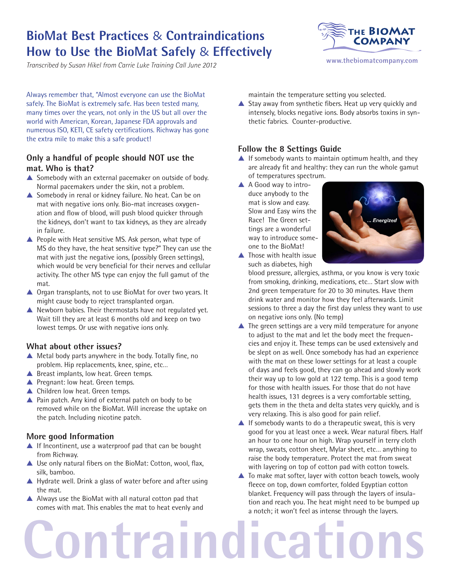## **BioMat Best Practices** & **Contraindications How to Use the BioMat Safely** & **Effectively**

*Transcribed by Susan Hikel from Carrie Luke Training Call June 2012*



Always remember that, "Almost everyone can use the BioMat safely. The BioMat is extremely safe. Has been tested many, many times over the years, not only in the US but all over the world with American, Korean, Japanese FDA approvals and numerous ISO, KETI, CE safety certifications. Richway has gone the extra mile to make this a safe product!

### **Only a handful of people should NOT use the mat. Who is that?**

- $\triangle$  Somebody with an external pacemaker on outside of body. Normal pacemakers under the skin, not a problem.
- $\triangle$  Somebody in renal or kidney failure. No heat. Can be on mat with negative ions only. Bio-mat increases oxygenation and flow of blood, will push blood quicker through the kidneys, don't want to tax kidneys, as they are already in failure.
- $\triangle$  People with Heat sensitive MS. Ask person, what type of MS do they have, the heat sensitive type?" They can use the mat with just the negative ions, (possibly Green settings), which would be very beneficial for their nerves and cellular activity. The other MS type can enjoy the full gamut of the mat.
- $\triangle$  Organ transplants, not to use BioMat for over two years. It might cause body to reject transplanted organ.
- $\blacktriangle$  Newborn babies. Their thermostats have not regulated yet. Wait till they are at least 6 months old and keep on two lowest temps. Or use with negative ions only.

### **What about other issues?**

- $\blacktriangle$  Metal body parts anywhere in the body. Totally fine, no problem. Hip replacements, knee, spine, etc…
- $\triangle$  Breast implants, low heat. Green temps.
- $\triangle$  Pregnant: low heat. Green temps.
- $\triangle$  Children low heat. Green temps.
- $\blacktriangle$  Pain patch. Any kind of external patch on body to be removed while on the BioMat. Will increase the uptake on the patch. Including nicotine patch.

### **More good Information**

- $\triangle$  If Incontinent, use a waterproof pad that can be bought from Richway.
- $\triangle$  Use only natural fibers on the BioMat: Cotton, wool, flax, silk, bamboo.
- $\triangle$  Hydrate well. Drink a glass of water before and after using the mat.
- $\triangle$  Always use the BioMat with all natural cotton pad that comes with mat. This enables the mat to heat evenly and

maintain the temperature setting you selected.

 $\blacktriangle$  Stay away from synthetic fibers. Heat up very quickly and intensely, blocks negative ions. Body absorbs toxins in synthetic fabrics. Counter-productive.

### **Follow the 8 Settings Guide**

- $\blacktriangle$  If somebody wants to maintain optimum health, and they are already fit and healthy: they can run the whole gamut of temperatures spectrum.
- ▲ A Good way to introduce anybody to the mat is slow and easy. Slow and Easy wins the Race! The Green settings are a wonderful way to introduce someone to the BioMat!



 $\blacktriangle$  Those with health issue such as diabetes, high

blood pressure, allergies, asthma, or you know is very toxic from smoking, drinking, medications, etc… Start slow with 2nd green temperature for 20 to 30 minutes. Have them drink water and monitor how they feel afterwards. Limit sessions to three a day the first day unless they want to use on negative ions only. (No temp)

- $\blacktriangle$  The green settings are a very mild temperature for anyone to adjust to the mat and let the body meet the frequencies and enjoy it. These temps can be used extensively and be slept on as well. Once somebody has had an experience with the mat on these lower settings for at least a couple of days and feels good, they can go ahead and slowly work their way up to low gold at 122 temp. This is a good temp for those with health issues. For those that do not have health issues, 131 degrees is a very comfortable setting, gets them in the theta and delta states very quickly, and is very relaxing. This is also good for pain relief.
- $\blacktriangle$  If somebody wants to do a therapeutic sweat, this is very good for you at least once a week. Wear natural fibers. Half an hour to one hour on high. Wrap yourself in terry cloth wrap, sweats, cotton sheet, Mylar sheet, etc… anything to raise the body temperature. Protect the mat from sweat with layering on top of cotton pad with cotton towels.
- $\blacktriangle$  To make mat softer, layer with cotton beach towels, wooly fleece on top, down comforter, folded Egyptian cotton blanket. Frequency will pass through the layers of insulation and reach you. The heat might need to be bumped up a notch; it won't feel as intense through the layers.

# **Contraindications**